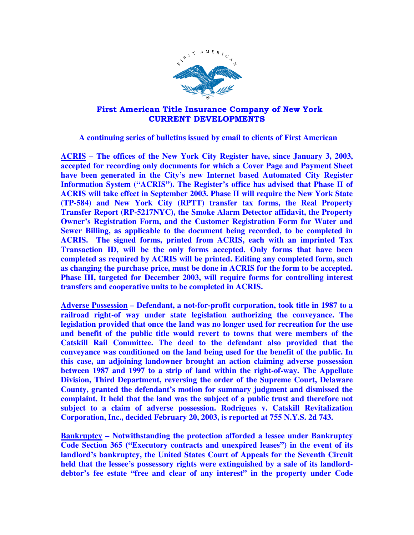

## First American Title Insurance Company of New York CURRENT DEVELOPMENTS

 **A continuing series of bulletins issued by email to clients of First American** 

**ACRIS – The offices of the New York City Register have, since January 3, 2003, accepted for recording only documents for which a Cover Page and Payment Sheet have been generated in the City's new Internet based Automated City Register Information System ("ACRIS"). The Register's office has advised that Phase II of ACRIS will take effect in September 2003. Phase II will require the New York State (TP-584) and New York City (RPTT) transfer tax forms, the Real Property Transfer Report (RP-5217NYC), the Smoke Alarm Detector affidavit, the Property Owner's Registration Form, and the Customer Registration Form for Water and Sewer Billing, as applicable to the document being recorded, to be completed in ACRIS. The signed forms, printed from ACRIS, each with an imprinted Tax Transaction ID, will be the only forms accepted. Only forms that have been completed as required by ACRIS will be printed. Editing any completed form, such as changing the purchase price, must be done in ACRIS for the form to be accepted. Phase III, targeted for December 2003, will require forms for controlling interest transfers and cooperative units to be completed in ACRIS.** 

**Adverse Possession – Defendant, a not-for-profit corporation, took title in 1987 to a railroad right-of way under state legislation authorizing the conveyance. The legislation provided that once the land was no longer used for recreation for the use and benefit of the public title would revert to towns that were members of the Catskill Rail Committee. The deed to the defendant also provided that the conveyance was conditioned on the land being used for the benefit of the public. In this case, an adjoining landowner brought an action claiming adverse possession between 1987 and 1997 to a strip of land within the right-of-way. The Appellate Division, Third Department, reversing the order of the Supreme Court, Delaware County, granted the defendant's motion for summary judgment and dismissed the complaint. It held that the land was the subject of a public trust and therefore not subject to a claim of adverse possession. Rodrigues v. Catskill Revitalization Corporation, Inc., decided February 20, 2003, is reported at 755 N.Y.S. 2d 743.** 

**Bankruptcy – Notwithstanding the protection afforded a lessee under Bankruptcy Code Section 365 ("Executory contracts and unexpired leases") in the event of its landlord's bankruptcy, the United States Court of Appeals for the Seventh Circuit held that the lessee's possessory rights were extinguished by a sale of its landlorddebtor's fee estate "free and clear of any interest" in the property under Code**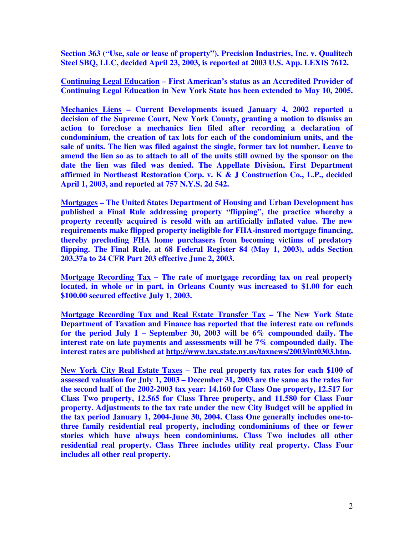**Section 363 ("Use, sale or lease of property"). Precision Industries, Inc. v. Qualitech Steel SBQ, LLC, decided April 23, 2003, is reported at 2003 U.S. App. LEXIS 7612.** 

**Continuing Legal Education – First American's status as an Accredited Provider of Continuing Legal Education in New York State has been extended to May 10, 2005.** 

**Mechanics Liens – Current Developments issued January 4, 2002 reported a decision of the Supreme Court, New York County, granting a motion to dismiss an action to foreclose a mechanics lien filed after recording a declaration of condominium, the creation of tax lots for each of the condominium units, and the sale of units. The lien was filed against the single, former tax lot number. Leave to amend the lien so as to attach to all of the units still owned by the sponsor on the date the lien was filed was denied. The Appellate Division, First Department affirmed in Northeast Restoration Corp. v. K & J Construction Co., L.P., decided April 1, 2003, and reported at 757 N.Y.S. 2d 542.** 

**Mortgages – The United States Department of Housing and Urban Development has published a Final Rule addressing property "flipping", the practice whereby a property recently acquired is resold with an artificially inflated value. The new requirements make flipped property ineligible for FHA-insured mortgage financing, thereby precluding FHA home purchasers from becoming victims of predatory flipping. The Final Rule, at 68 Federal Register 84 (May 1, 2003), adds Section 203.37a to 24 CFR Part 203 effective June 2, 2003.** 

**Mortgage Recording Tax – The rate of mortgage recording tax on real property located, in whole or in part, in Orleans County was increased to \$1.00 for each \$100.00 secured effective July 1, 2003.** 

**Mortgage Recording Tax and Real Estate Transfer Tax – The New York State Department of Taxation and Finance has reported that the interest rate on refunds for the period July 1 – September 30, 2003 will be 6% compounded daily. The interest rate on late payments and assessments will be 7% compounded daily. The interest rates are published at http://www.tax.state.ny.us/taxnews/2003/int0303.htm.** 

**New York City Real Estate Taxes – The real property tax rates for each \$100 of assessed valuation for July 1, 2003 – December 31, 2003 are the same as the rates for the second half of the 2002-2003 tax year: 14.160 for Class One property, 12.517 for Class Two property, 12.565 for Class Three property, and 11.580 for Class Four property. Adjustments to the tax rate under the new City Budget will be applied in the tax period January 1, 2004-June 30, 2004. Class One generally includes one-tothree family residential real property, including condominiums of thee or fewer stories which have always been condominiums. Class Two includes all other residential real property. Class Three includes utility real property. Class Four includes all other real property.**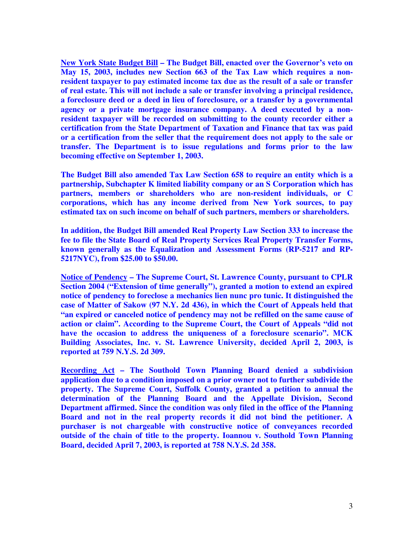**New York State Budget Bill – The Budget Bill, enacted over the Governor's veto on May 15, 2003, includes new Section 663 of the Tax Law which requires a nonresident taxpayer to pay estimated income tax due as the result of a sale or transfer of real estate. This will not include a sale or transfer involving a principal residence, a foreclosure deed or a deed in lieu of foreclosure, or a transfer by a governmental agency or a private mortgage insurance company. A deed executed by a nonresident taxpayer will be recorded on submitting to the county recorder either a certification from the State Department of Taxation and Finance that tax was paid or a certification from the seller that the requirement does not apply to the sale or transfer. The Department is to issue regulations and forms prior to the law becoming effective on September 1, 2003.** 

**The Budget Bill also amended Tax Law Section 658 to require an entity which is a partnership, Subchapter K limited liability company or an S Corporation which has partners, members or shareholders who are non-resident individuals, or C corporations, which has any income derived from New York sources, to pay estimated tax on such income on behalf of such partners, members or shareholders.** 

**In addition, the Budget Bill amended Real Property Law Section 333 to increase the fee to file the State Board of Real Property Services Real Property Transfer Forms, known generally as the Equalization and Assessment Forms (RP-5217 and RP-5217NYC), from \$25.00 to \$50.00.** 

**Notice of Pendency – The Supreme Court, St. Lawrence County, pursuant to CPLR Section 2004 ("Extension of time generally"), granted a motion to extend an expired notice of pendency to foreclose a mechanics lien nunc pro tunic. It distinguished the case of Matter of Sakow (97 N.Y. 2d 436), in which the Court of Appeals held that "an expired or canceled notice of pendency may not be refilled on the same cause of action or claim". According to the Supreme Court, the Court of Appeals "did not have the occasion to address the uniqueness of a foreclosure scenario". MCK Building Associates, Inc. v. St. Lawrence University, decided April 2, 2003, is reported at 759 N.Y.S. 2d 309.** 

**Recording Act – The Southold Town Planning Board denied a subdivision application due to a condition imposed on a prior owner not to further subdivide the property. The Supreme Court, Suffolk County, granted a petition to annual the determination of the Planning Board and the Appellate Division, Second Department affirmed. Since the condition was only filed in the office of the Planning Board and not in the real property records it did not bind the petitioner. A purchaser is not chargeable with constructive notice of conveyances recorded outside of the chain of title to the property. Ioannou v. Southold Town Planning Board, decided April 7, 2003, is reported at 758 N.Y.S. 2d 358.**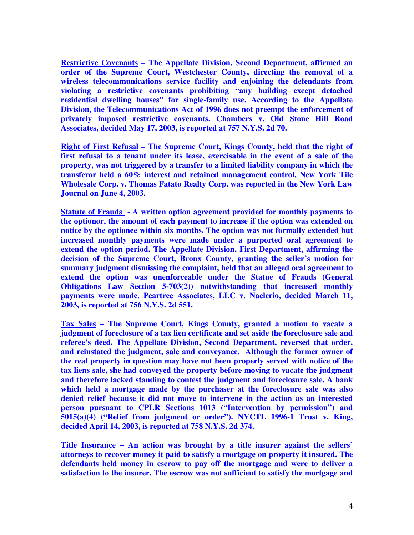**Restrictive Covenants – The Appellate Division, Second Department, affirmed an order of the Supreme Court, Westchester County, directing the removal of a wireless telecommunications service facility and enjoining the defendants from violating a restrictive covenants prohibiting "any building except detached residential dwelling houses" for single-family use. According to the Appellate Division, the Telecommunications Act of 1996 does not preempt the enforcement of privately imposed restrictive covenants. Chambers v. Old Stone Hill Road Associates, decided May 17, 2003, is reported at 757 N.Y.S. 2d 70.** 

**Right of First Refusal – The Supreme Court, Kings County, held that the right of first refusal to a tenant under its lease, exercisable in the event of a sale of the property, was not triggered by a transfer to a limited liability company in which the transferor held a 60% interest and retained management control. New York Tile Wholesale Corp. v. Thomas Fatato Realty Corp. was reported in the New York Law Journal on June 4, 2003.** 

**Statute of Frauds - A written option agreement provided for monthly payments to the optionor, the amount of each payment to increase if the option was extended on notice by the optionee within six months. The option was not formally extended but increased monthly payments were made under a purported oral agreement to extend the option period. The Appellate Division, First Department, affirming the decision of the Supreme Court, Bronx County, granting the seller's motion for summary judgment dismissing the complaint, held that an alleged oral agreement to extend the option was unenforceable under the Statue of Frauds (General Obligations Law Section 5-703(2)) notwithstanding that increased monthly payments were made. Peartree Associates, LLC v. Naclerio, decided March 11, 2003, is reported at 756 N.Y.S. 2d 551.** 

**Tax Sales – The Supreme Court, Kings County, granted a motion to vacate a judgment of foreclosure of a tax lien certificate and set aside the foreclosure sale and referee's deed. The Appellate Division, Second Department, reversed that order, and reinstated the judgment, sale and conveyance. Although the former owner of the real property in question may have not been properly served with notice of the tax liens sale, she had conveyed the property before moving to vacate the judgment and therefore lacked standing to contest the judgment and foreclosure sale. A bank which held a mortgage made by the purchaser at the foreclosure sale was also denied relief because it did not move to intervene in the action as an interested person pursuant to CPLR Sections 1013 ("Intervention by permission") and 5015(a)(4) ("Relief from judgment or order"). NYCTL 1996-1 Trust v. King, decided April 14, 2003, is reported at 758 N.Y.S. 2d 374.** 

**Title Insurance – An action was brought by a title insurer against the sellers' attorneys to recover money it paid to satisfy a mortgage on property it insured. The defendants held money in escrow to pay off the mortgage and were to deliver a satisfaction to the insurer. The escrow was not sufficient to satisfy the mortgage and**